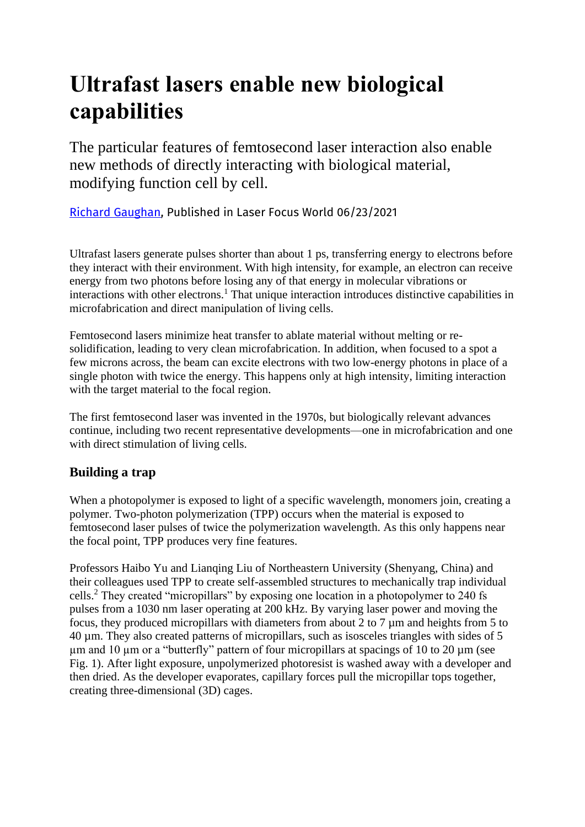# **Ultrafast lasers enable new biological capabilities**

The particular features of femtosecond laser interaction also enable new methods of directly interacting with biological material, modifying function cell by cell.

[Richard Gaughan,](https://www.laserfocusworld.com/14068179) Published in Laser Focus World 06/23/2021

Ultrafast lasers generate pulses shorter than about 1 ps, transferring energy to electrons before they interact with their environment. With high intensity, for example, an electron can receive energy from two photons before losing any of that energy in molecular vibrations or interactions with other electrons.<sup>1</sup> That unique interaction introduces distinctive capabilities in microfabrication and direct manipulation of living cells.

Femtosecond lasers minimize heat transfer to ablate material without melting or resolidification, leading to very clean microfabrication. In addition, when focused to a spot a few microns across, the beam can excite electrons with two low-energy photons in place of a single photon with twice the energy. This happens only at high intensity, limiting interaction with the target material to the focal region.

The first femtosecond laser was invented in the 1970s, but biologically relevant advances continue, including two recent representative developments—one in microfabrication and one with direct stimulation of living cells.

# **Building a trap**

When a photopolymer is exposed to light of a specific wavelength, monomers join, creating a polymer. Two-photon polymerization (TPP) occurs when the material is exposed to femtosecond laser pulses of twice the polymerization wavelength. As this only happens near the focal point, TPP produces very fine features.

Professors Haibo Yu and Lianqing Liu of Northeastern University (Shenyang, China) and their colleagues used TPP to create self-assembled structures to mechanically trap individual cells.<sup>2</sup> They created "micropillars" by exposing one location in a photopolymer to 240 fs pulses from a 1030 nm laser operating at 200 kHz. By varying laser power and moving the focus, they produced micropillars with diameters from about 2 to 7  $\mu$ m and heights from 5 to 40 µm. They also created patterns of micropillars, such as isosceles triangles with sides of 5  $\mu$ m and 10  $\mu$ m or a "butterfly" pattern of four micropillars at spacings of 10 to 20  $\mu$ m (see Fig. 1). After light exposure, unpolymerized photoresist is washed away with a developer and then dried. As the developer evaporates, capillary forces pull the micropillar tops together, creating three-dimensional (3D) cages.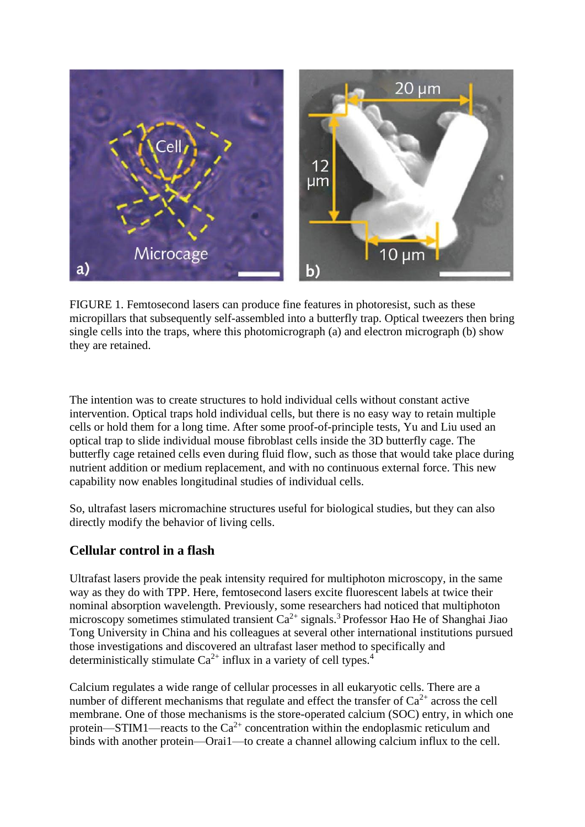

FIGURE 1. Femtosecond lasers can produce fine features in photoresist, such as these micropillars that subsequently self-assembled into a butterfly trap. Optical tweezers then bring single cells into the traps, where this photomicrograph (a) and electron micrograph (b) show they are retained.

The intention was to create structures to hold individual cells without constant active intervention. Optical traps hold individual cells, but there is no easy way to retain multiple cells or hold them for a long time. After some proof-of-principle tests, Yu and Liu used an optical trap to slide individual mouse fibroblast cells inside the 3D butterfly cage. The butterfly cage retained cells even during fluid flow, such as those that would take place during nutrient addition or medium replacement, and with no continuous external force. This new capability now enables longitudinal studies of individual cells.

So, ultrafast lasers micromachine structures useful for biological studies, but they can also directly modify the behavior of living cells.

### **Cellular control in a flash**

Ultrafast lasers provide the peak intensity required for multiphoton microscopy, in the same way as they do with TPP. Here, femtosecond lasers excite fluorescent labels at twice their nominal absorption wavelength. Previously, some researchers had noticed that multiphoton microscopy sometimes stimulated transient  $Ca^{2+}$  signals.<sup>3</sup> Professor Hao He of Shanghai Jiao Tong University in China and his colleagues at several other international institutions pursued those investigations and discovered an ultrafast laser method to specifically and deterministically stimulate  $Ca^{2+}$  influx in a variety of cell types.<sup>4</sup>

Calcium regulates a wide range of cellular processes in all eukaryotic cells. There are a number of different mechanisms that regulate and effect the transfer of  $Ca^{2+}$  across the cell membrane. One of those mechanisms is the store-operated calcium (SOC) entry, in which one protein—STIM1—reacts to the  $Ca^{2+}$  concentration within the endoplasmic reticulum and binds with another protein—Orai1—to create a channel allowing calcium influx to the cell.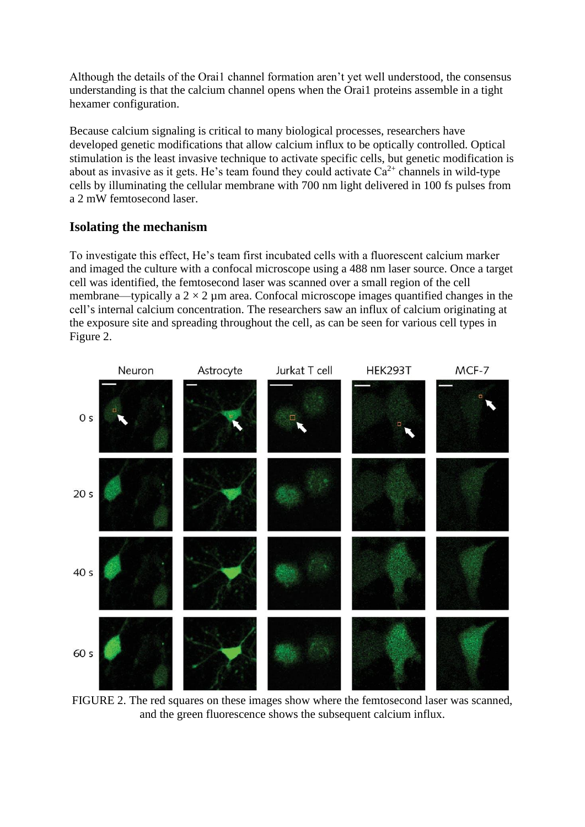Although the details of the Orai1 channel formation aren't yet well understood, the consensus understanding is that the calcium channel opens when the Orai1 proteins assemble in a tight hexamer configuration.

Because calcium signaling is critical to many biological processes, researchers have developed genetic modifications that allow calcium influx to be optically controlled. Optical stimulation is the least invasive technique to activate specific cells, but genetic modification is about as invasive as it gets. He's team found they could activate  $Ca^{2+}$  channels in wild-type cells by illuminating the cellular membrane with 700 nm light delivered in 100 fs pulses from a 2 mW femtosecond laser.

# **Isolating the mechanism**

To investigate this effect, He's team first incubated cells with a fluorescent calcium marker and imaged the culture with a confocal microscope using a 488 nm laser source. Once a target cell was identified, the femtosecond laser was scanned over a small region of the cell membrane—typically a  $2 \times 2$  µm area. Confocal microscope images quantified changes in the cell's internal calcium concentration. The researchers saw an influx of calcium originating at the exposure site and spreading throughout the cell, as can be seen for various cell types in Figure 2.



FIGURE 2. The red squares on these images show where the femtosecond laser was scanned, and the green fluorescence shows the subsequent calcium influx.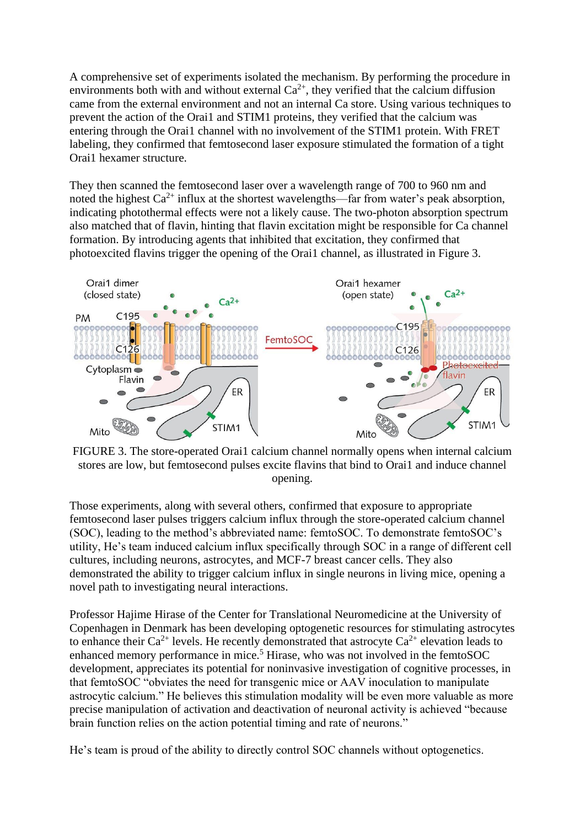A comprehensive set of experiments isolated the mechanism. By performing the procedure in environments both with and without external  $Ca^{2+}$ , they verified that the calcium diffusion came from the external environment and not an internal Ca store. Using various techniques to prevent the action of the Orai1 and STIM1 proteins, they verified that the calcium was entering through the Orai1 channel with no involvement of the STIM1 protein. With FRET labeling, they confirmed that femtosecond laser exposure stimulated the formation of a tight Orai1 hexamer structure.

They then scanned the femtosecond laser over a wavelength range of 700 to 960 nm and noted the highest  $Ca^{2+}$  influx at the shortest wavelengths—far from water's peak absorption, indicating photothermal effects were not a likely cause. The two-photon absorption spectrum also matched that of flavin, hinting that flavin excitation might be responsible for Ca channel formation. By introducing agents that inhibited that excitation, they confirmed that photoexcited flavins trigger the opening of the Orai1 channel, as illustrated in Figure 3.



FIGURE 3. The store-operated Orai1 calcium channel normally opens when internal calcium stores are low, but femtosecond pulses excite flavins that bind to Orai1 and induce channel opening.

Those experiments, along with several others, confirmed that exposure to appropriate femtosecond laser pulses triggers calcium influx through the store-operated calcium channel (SOC), leading to the method's abbreviated name: femtoSOC. To demonstrate femtoSOC's utility, He's team induced calcium influx specifically through SOC in a range of different cell cultures, including neurons, astrocytes, and MCF-7 breast cancer cells. They also demonstrated the ability to trigger calcium influx in single neurons in living mice, opening a novel path to investigating neural interactions.

Professor Hajime Hirase of the Center for Translational Neuromedicine at the University of Copenhagen in Denmark has been developing optogenetic resources for stimulating astrocytes to enhance their  $Ca^{2+}$  levels. He recently demonstrated that astrocyte  $Ca^{2+}$  elevation leads to enhanced memory performance in mice.<sup>5</sup> Hirase, who was not involved in the femtoSOC development, appreciates its potential for noninvasive investigation of cognitive processes, in that femtoSOC "obviates the need for transgenic mice or AAV inoculation to manipulate astrocytic calcium." He believes this stimulation modality will be even more valuable as more precise manipulation of activation and deactivation of neuronal activity is achieved "because brain function relies on the action potential timing and rate of neurons."

He's team is proud of the ability to directly control SOC channels without optogenetics.